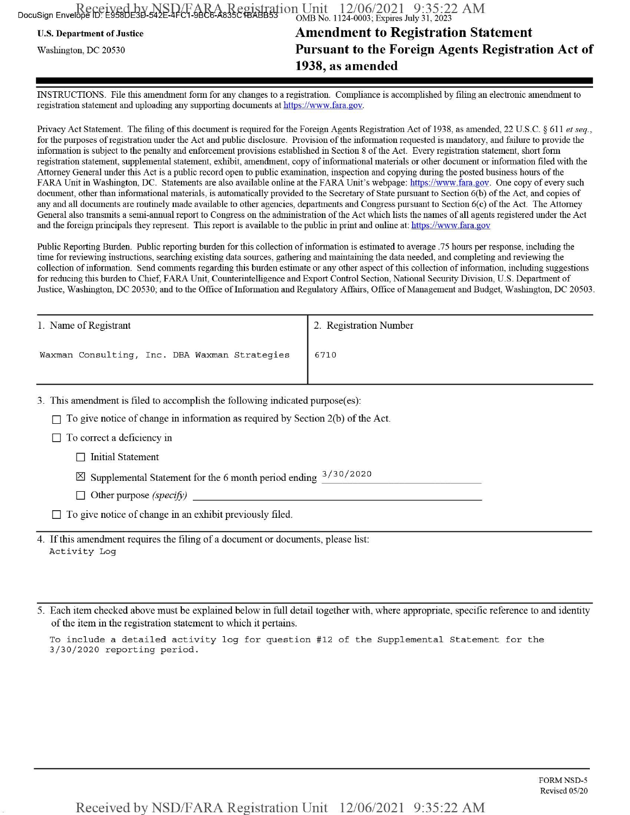| Received by NSD FARA Registration Unit 12/06/2021 9:35:22 AM | OMB No. 1124-0003; Expires July 31, 2023 |
|--------------------------------------------------------------|------------------------------------------|

U.S. Department of Justice

Washington, DC 20530

## **Amendment to Registration Statement Pursuant to the Foreign Agents Registration Act of 1938, as amended**

INSTRUCTIONS. File this amendment form for any changes to a registration. Compliance is accomplished by filing an electronic amendment to registration statement and uploading any supporting documents at https://www.fara.gov.

Privacy Act Statement. The filing of this document is required for the Foreign Agents Registration Act of 1938, as amended, 22 U.S.C. § 611 *et seq.*, for the purposes of registration under the Act and public disclosure. Provision of the information requested is mandatory, and failure to provide the information is subject to the penalty and enforcement provisions established in Section 8 of the Act. Every registration statement, short form registration statement, supplemental statement, exhibit, amendment, copy ofinformational materials or other document or information filed with the Attorney General under this Act is <sup>a</sup> public record open to public examination, inspection and copying during the posted business hours ofthe FARA Unit in Washington, DC. Statements are also available online at the FARA Unit's webpage: https://www.fara.gov. One copy of every such document, other than informational materials, is automatically provided to the Secretary of State pursuant to Section 6(b) of the Act, and copies of any and all documents are routinely made available to other agencies, departments and Congress pursuant to Section 6(c) ofthe Act. The Attorney General also transmits a semi-annual report to Congress on the administration ofthe Act which lists the names ofall agents registered under the Act and the foreign principals they represent. This report is available to the public in print and online at; https://www.fara.gov

Public Reporting Burden. Public reporting burden for this collection of information is estimated to average .75 hours per response, including the time for reviewing instructions, searching existing data sources, gathering and maintaining the data needed, and completing and reviewing the collection of information. Send comments regarding this burden estimate or any other aspect of this collection of information, including suggestions for reducing this burden to Chief, FARA Unit, Counterintelligence and Export Control Section, National Security Division, U.S. Department of Justice, Washington, DC 20530; and to the Office of Information and Regulatory Affairs, Office of Management and Budget, Washington, DC 20503.

| 1. Name of Registrant                         | 2. Registration Number |
|-----------------------------------------------|------------------------|
| Waxman Consulting, Inc. DBA Waxman Strategies | 6710                   |

3. This amendment is filed to accomplish the following indicated purpose(es):

 $\Box$  To give notice of change in information as required by Section 2(b) of the Act.

 $\Box$  To correct a deficiency in

 $\Box$  Initial Statement

 $\boxtimes$  Supplemental Statement for the 6 month period ending  $3/30/2020$ 

 $\Box$  Other purpose *(specify)* 

 $\Box$  To give notice of change in an exhibit previously filed.

4. If this amendment requires the filing of a document or documents, please list: Activity Log

5. Each item checked above must be explained below m full detail together with, where appropriate, specific reference to and identity of the item in the registration statement to which it pertains.

To include a detailed activity log for question #12 of the Supplemental Statement for the 3/30/2020 reporting period.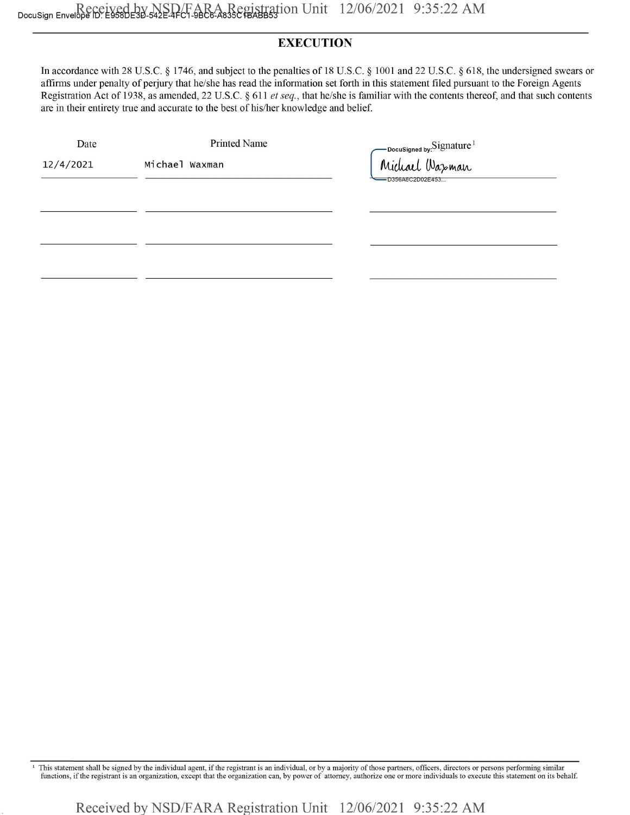## **EXECUTION**

In accordance with 28 U.S.C. § 1746, and subject to the penalties of 18 U.S.C. § 1001 and 22 U.S.C. § 618, the undersigned swears or affirms under penalty of perjury that he/she has read the information set forth in this statement filed pursuant to the Foreign Agents Registration Act of 1938, as amended, 22 U.S.C. §611 *el seq.,* that he/she is familiar with the contents thereof, and that such contents are in their entirety true and accurate to the best of his/her knowledge and belief.

| Date      | <b>Printed Name</b> |                                                        |
|-----------|---------------------|--------------------------------------------------------|
| 12/4/2021 | Michael Waxman      | oocusigned by:Signature <sup>1</sup><br>Michael Waxman |
|           |                     | -D356A8C2D02E453                                       |
|           |                     |                                                        |
|           |                     |                                                        |
|           |                     |                                                        |
|           |                     |                                                        |

This statement shall be signed by the individual agent, if the registrant is an individual, or by a majority of those partners, officers, directors or persons performing similar functions, if the registrant is an organizat